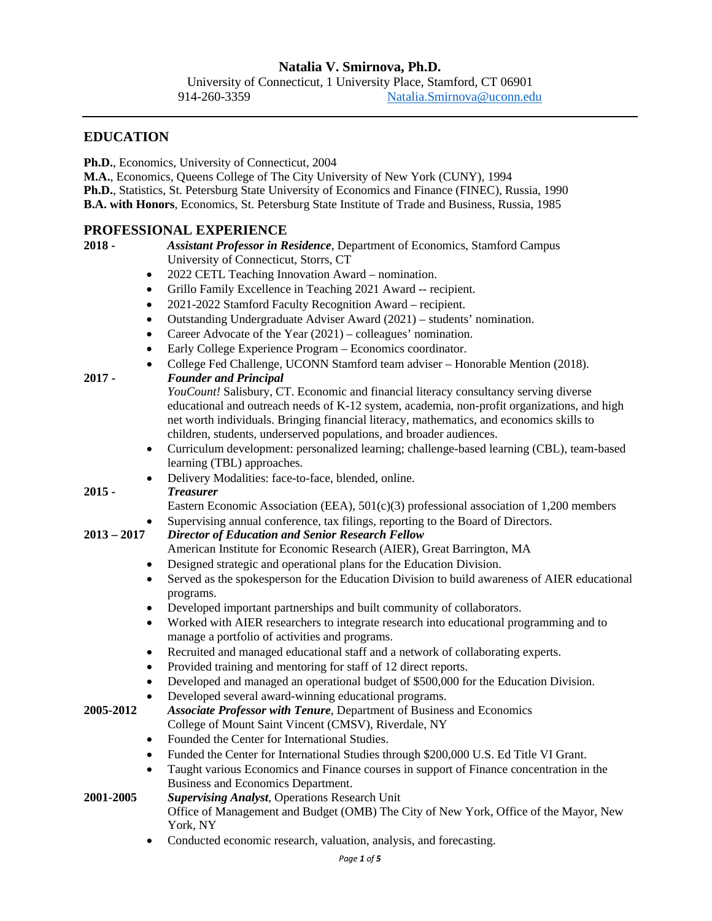### **EDUCATION**

**Ph.D.**, Economics, University of Connecticut, 2004

**M.A.**, Economics, Queens College of The City University of New York (CUNY), 1994

**Ph.D.**, Statistics, St. Petersburg State University of Economics and Finance (FINEC), Russia, 1990 **B.A. with Honors**, Economics, St. Petersburg State Institute of Trade and Business, Russia, 1985

### **PROFESSIONAL EXPERIENCE**

# **2018 -** *Assistant Professor in Residence*, Department of Economics, Stamford Campus

University of Connecticut, Storrs, CT

- 2022 CETL Teaching Innovation Award nomination.
- Grillo Family Excellence in Teaching 2021 Award -- recipient.
- 2021-2022 Stamford Faculty Recognition Award recipient.
- Outstanding Undergraduate Adviser Award (2021) students' nomination.
- Career Advocate of the Year (2021) colleagues' nomination.
- Early College Experience Program Economics coordinator.
- College Fed Challenge, UCONN Stamford team adviser Honorable Mention (2018). **2017 -** *Founder and Principal*

*YouCount!* Salisbury, CT. Economic and financial literacy consultancy serving diverse educational and outreach needs of K-12 system, academia, non-profit organizations, and high net worth individuals. Bringing financial literacy, mathematics, and economics skills to children, students, underserved populations, and broader audiences.

• Curriculum development: personalized learning; challenge-based learning (CBL), team-based learning (TBL) approaches.

## • Delivery Modalities: face-to-face, blended, online. **2015 -** *Treasurer*

Eastern Economic Association (EEA),  $501(c)(3)$  professional association of 1,200 members

- Supervising annual conference, tax filings, reporting to the Board of Directors.
- **2013 – 2017** *Director of Education and Senior Research Fellow*
	- American Institute for Economic Research (AIER), Great Barrington, MA
	- Designed strategic and operational plans for the Education Division.
	- Served as the spokesperson for the Education Division to build awareness of AIER educational programs.
	- Developed important partnerships and built community of collaborators.
	- Worked with AIER researchers to integrate research into educational programming and to manage a portfolio of activities and programs.
	- Recruited and managed educational staff and a network of collaborating experts.
	- Provided training and mentoring for staff of 12 direct reports.
	- Developed and managed an operational budget of \$500,000 for the Education Division.
	- Developed several award-winning educational programs.
- **2005-2012** *Associate Professor with Tenure*, Department of Business and Economics College of Mount Saint Vincent (CMSV), Riverdale, NY
	- Founded the Center for International Studies.
	- Funded the Center for International Studies through \$200,000 U.S. Ed Title VI Grant.
	- Taught various Economics and Finance courses in support of Finance concentration in the Business and Economics Department.
- **2001-2005** *Supervising Analyst*, Operations Research Unit Office of Management and Budget (OMB) The City of New York, Office of the Mayor, New York, NY
	- Conducted economic research, valuation, analysis, and forecasting.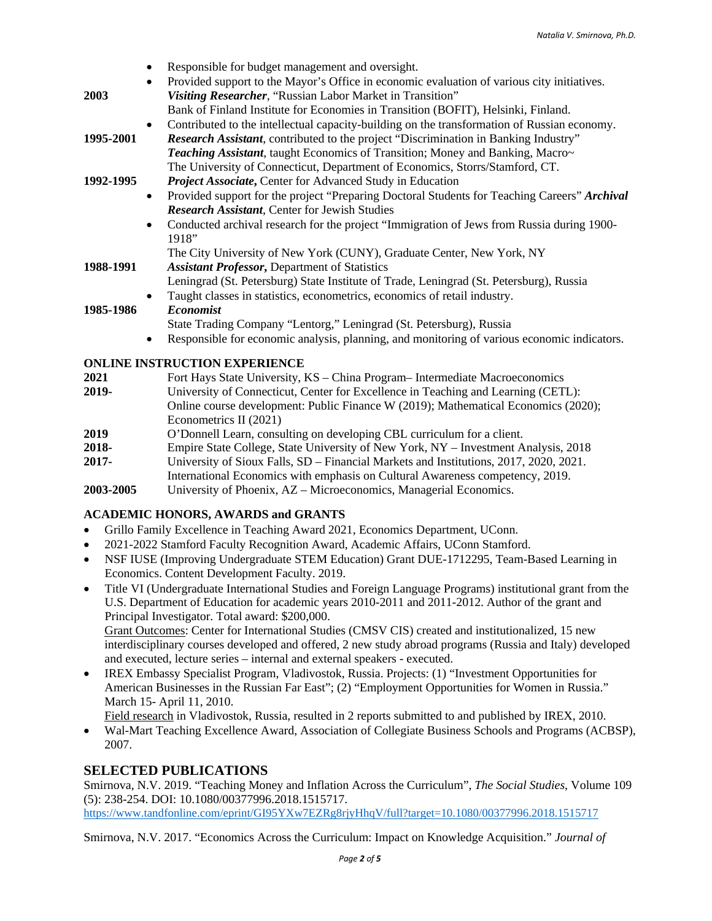- Responsible for budget management and oversight. • Provided support to the Mayor's Office in economic evaluation of various city initiatives. **2003** *Visiting Researcher*, "Russian Labor Market in Transition" Bank of Finland Institute for Economies in Transition (BOFIT), Helsinki, Finland. • Contributed to the intellectual capacity-building on the transformation of Russian economy. **1995-2001** *Research Assistant*, contributed to the project "Discrimination in Banking Industry" *Teaching Assistant*, taught Economics of Transition; Money and Banking, Macro~ The University of Connecticut, Department of Economics, Storrs/Stamford, CT. **1992-1995** *Project Associate***,** Center for Advanced Study in Education • Provided support for the project "Preparing Doctoral Students for Teaching Careers" *Archival Research Assistant*, Center for Jewish Studies • Conducted archival research for the project "Immigration of Jews from Russia during 1900-1918" The City University of New York (CUNY), Graduate Center, New York, NY **1988-1991** *Assistant Professor***,** Department of Statistics
	- Leningrad (St. Petersburg) State Institute of Trade, Leningrad (St. Petersburg), Russia
	- Taught classes in statistics, econometrics, economics of retail industry.

### **1985-1986** *Economist*

- State Trading Company "Lentorg," Leningrad (St. Petersburg), Russia
- Responsible for economic analysis, planning, and monitoring of various economic indicators.

### **ONLINE INSTRUCTION EXPERIENCE**

**2021** Fort Hays State University, KS – China Program– Intermediate Macroeconomics **2019-** University of Connecticut, Center for Excellence in Teaching and Learning (CETL): Online course development: Public Finance W (2019); Mathematical Economics (2020); Econometrics II (2021) **2019** O'Donnell Learn, consulting on developing CBL curriculum for a client. **2018-** Empire State College, State University of New York, NY – Investment Analysis, 2018 **2017-** University of Sioux Falls, SD – Financial Markets and Institutions, 2017, 2020, 2021. International Economics with emphasis on Cultural Awareness competency, 2019. **2003-2005** University of Phoenix, AZ – Microeconomics, Managerial Economics.

## **ACADEMIC HONORS, AWARDS and GRANTS**

- Grillo Family Excellence in Teaching Award 2021, Economics Department, UConn.
- 2021-2022 Stamford Faculty Recognition Award, Academic Affairs, UConn Stamford.
- NSF IUSE (Improving Undergraduate STEM Education) Grant DUE-1712295, Team-Based Learning in Economics. Content Development Faculty. 2019.
- Title VI (Undergraduate International Studies and Foreign Language Programs) institutional grant from the U.S. Department of Education for academic years 2010-2011 and 2011-2012. Author of the grant and Principal Investigator. Total award: \$200,000.

Grant Outcomes: Center for International Studies (CMSV CIS) created and institutionalized, 15 new interdisciplinary courses developed and offered, 2 new study abroad programs (Russia and Italy) developed and executed, lecture series – internal and external speakers - executed.

• IREX Embassy Specialist Program, Vladivostok, Russia. Projects: (1) "Investment Opportunities for American Businesses in the Russian Far East"; (2) "Employment Opportunities for Women in Russia." March 15- April 11, 2010.

Field research in Vladivostok, Russia, resulted in 2 reports submitted to and published by IREX, 2010.

• Wal-Mart Teaching Excellence Award, Association of Collegiate Business Schools and Programs (ACBSP), 2007.

## **SELECTED PUBLICATIONS**

Smirnova, N.V. 2019. "Teaching Money and Inflation Across the Curriculum", *The Social Studies*, Volume 109 (5): 238-254. DOI: 10.1080/00377996.2018.1515717. <https://www.tandfonline.com/eprint/GI95YXw7EZRg8rjyHhqV/full?target=10.1080/00377996.2018.1515717>

Smirnova, N.V. 2017. "Economics Across the Curriculum: Impact on Knowledge Acquisition." *Journal of*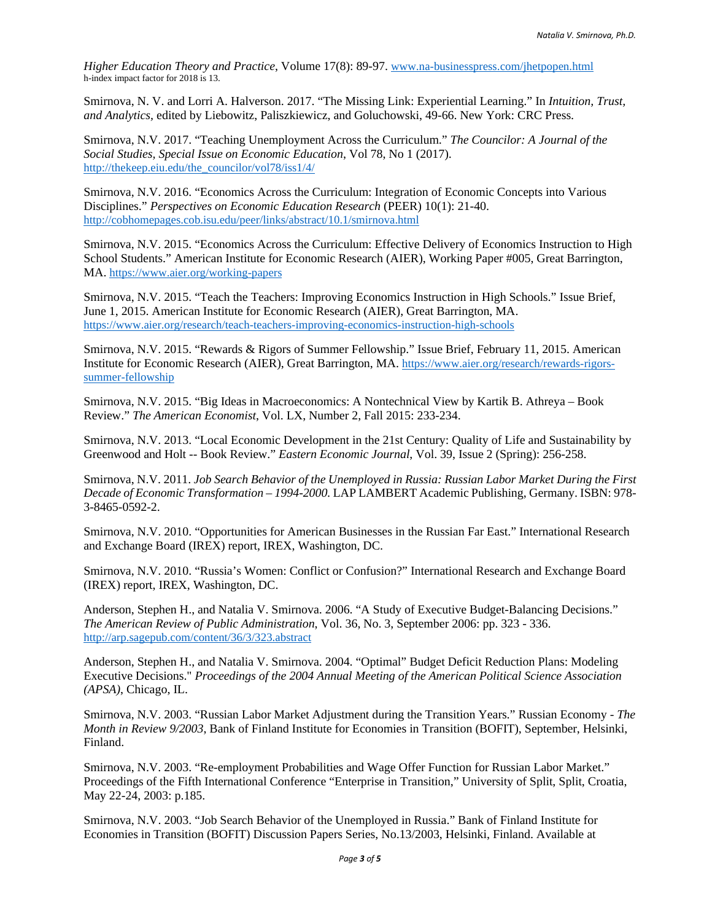*Higher Education Theory and Practice*, Volume 17(8): 89-97. [www.na-businesspress.com/jhetpopen.html](http://www.na-businesspress.com/jhetpopen.html) h-index impact factor for 2018 is 13.

Smirnova, N. V. and Lorri A. Halverson. 2017. "The Missing Link: Experiential Learning." In *Intuition, Trust, and Analytics,* edited by Liebowitz, Paliszkiewicz, and Goluchowski, 49-66. New York: CRC Press.

Smirnova, N.V. 2017. "Teaching Unemployment Across the Curriculum." *The Councilor: A Journal of the Social Studies, Special Issue on Economic Education*, Vol 78, No 1 (2017). [http://thekeep.eiu.edu/the\\_councilor/vol78/iss1/4/](http://thekeep.eiu.edu/the_councilor/vol78/iss1/4/)

Smirnova, N.V. 2016. "Economics Across the Curriculum: Integration of Economic Concepts into Various Disciplines." *Perspectives on Economic Education Research* (PEER) 10(1): 21-40. <http://cobhomepages.cob.isu.edu/peer/links/abstract/10.1/smirnova.html>

Smirnova, N.V. 2015. "Economics Across the Curriculum: Effective Delivery of Economics Instruction to High School Students." American Institute for Economic Research (AIER), Working Paper #005, Great Barrington, MA.<https://www.aier.org/working-papers>

Smirnova, N.V. 2015. "Teach the Teachers: Improving Economics Instruction in High Schools." Issue Brief, June 1, 2015. American Institute for Economic Research (AIER), Great Barrington, MA. <https://www.aier.org/research/teach-teachers-improving-economics-instruction-high-schools>

Smirnova, N.V. 2015. "Rewards & Rigors of Summer Fellowship." Issue Brief, February 11, 2015. American Institute for Economic Research (AIER), Great Barrington, MA. [https://www.aier.org/research/rewards-rigors](https://www.aier.org/research/rewards-rigors-%20summer-fellowship)[summer-fellowship](https://www.aier.org/research/rewards-rigors-%20summer-fellowship)

Smirnova, N.V. 2015. "Big Ideas in Macroeconomics: A Nontechnical View by Kartik B. Athreya – Book Review." *The American Economist*, Vol. LX, Number 2, Fall 2015: 233-234.

Smirnova, N.V. 2013. "Local Economic Development in the 21st Century: Quality of Life and Sustainability by Greenwood and Holt -- Book Review." *Eastern Economic Journal*, Vol. 39, Issue 2 (Spring): 256-258.

Smirnova, N.V. 2011. *Job Search Behavior of the Unemployed in Russia: Russian Labor Market During the First Decade of Economic Transformation – 1994-2000.* LAP LAMBERT Academic Publishing, Germany. ISBN: 978- 3-8465-0592-2.

Smirnova, N.V. 2010. "Opportunities for American Businesses in the Russian Far East." International Research and Exchange Board (IREX) report, IREX, Washington, DC.

Smirnova, N.V. 2010. "Russia's Women: Conflict or Confusion?" International Research and Exchange Board (IREX) report, IREX, Washington, DC.

Anderson, Stephen H., and Natalia V. Smirnova. 2006. "A Study of Executive Budget-Balancing Decisions." *The American Review of Public Administration*, Vol. 36, No. 3, September 2006: pp. 323 - 336. <http://arp.sagepub.com/content/36/3/323.abstract>

Anderson, Stephen H., and Natalia V. Smirnova. 2004. "Optimal" Budget Deficit Reduction Plans: Modeling Executive Decisions." *Proceedings of the 2004 Annual Meeting of the American Political Science Association (APSA)*, Chicago, IL.

Smirnova, N.V. 2003. "Russian Labor Market Adjustment during the Transition Years." Russian Economy - *The Month in Review 9/2003*, Bank of Finland Institute for Economies in Transition (BOFIT), September, Helsinki, Finland.

Smirnova, N.V. 2003. "Re-employment Probabilities and Wage Offer Function for Russian Labor Market." Proceedings of the Fifth International Conference "Enterprise in Transition," University of Split, Split, Croatia, May 22-24, 2003: p.185.

Smirnova, N.V. 2003. "Job Search Behavior of the Unemployed in Russia." Bank of Finland Institute for Economies in Transition (BOFIT) Discussion Papers Series, No.13/2003, Helsinki, Finland. Available at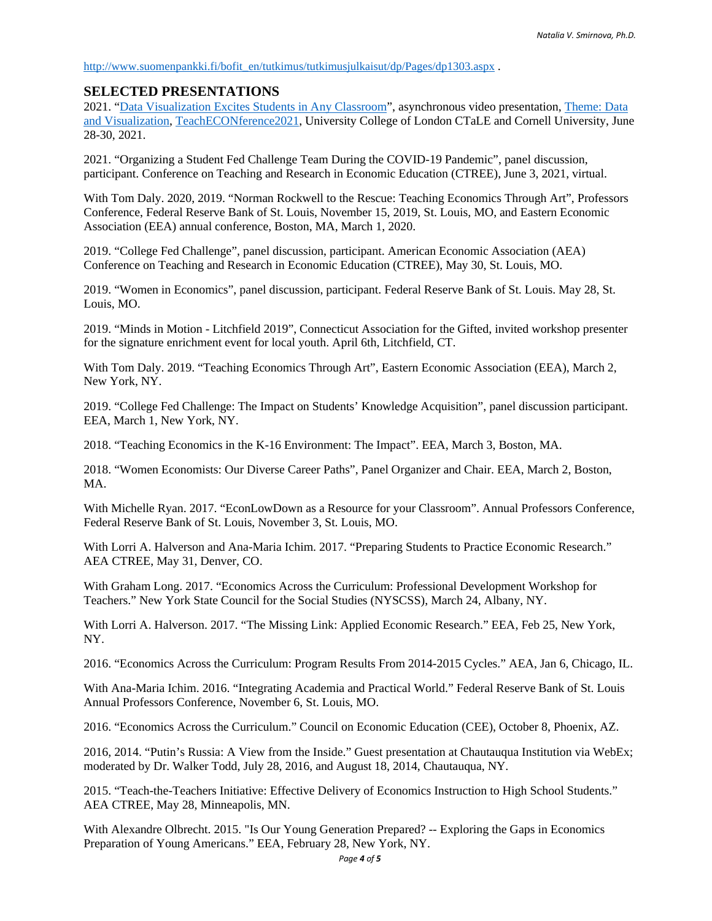[http://www.suomenpankki.fi/bofit\\_en/tutkimus/tutkimusjulkaisut/dp/Pages/dp1303.aspx](http://www.suomenpankki.fi/bofit_en/tutkimus/tutkimusjulkaisut/dp/Pages/dp1303.aspx) .

#### **SELECTED PRESENTATIONS**

2021. ["Data Visualization Excites Students in Any Classroom"](https://youtu.be/Q8VQMw40TlE), asynchronous video presentation[, Theme: Data](https://ctale.org/theme-data-and-visualisation/)  [and Visualization,](https://ctale.org/theme-data-and-visualisation/) [TeachECONference2021,](https://nam10.safelinks.protection.outlook.com/?url=https%3A%2F%2Fctale.org%2Fteacheconference2021%2F&data=04%7C01%7C%7Cdc7fc7e7aaea4c54943508d92cef45bb%7C17f1a87e2a254eaab9df9d439034b080%7C0%7C0%7C637590228445909565%7CUnknown%7CTWFpbGZsb3d8eyJWIjoiMC4wLjAwMDAiLCJQIjoiV2luMzIiLCJBTiI6Ik1haWwiLCJXVCI6Mn0%3D%7C1000&sdata=FhoGpUcjWcrHuYb6N0bx7bDGLtStuRujIcp9eiFdy4Q%3D&reserved=0) University College of London CTaLE and Cornell University, June 28-30, 2021.

2021. "Organizing a Student Fed Challenge Team During the COVID-19 Pandemic", panel discussion, participant. Conference on Teaching and Research in Economic Education (CTREE), June 3, 2021, virtual.

With Tom Daly. 2020, 2019. "Norman Rockwell to the Rescue: Teaching Economics Through Art", Professors Conference, Federal Reserve Bank of St. Louis, November 15, 2019, St. Louis, MO, and Eastern Economic Association (EEA) annual conference, Boston, MA, March 1, 2020.

2019. "College Fed Challenge", panel discussion, participant. American Economic Association (AEA) Conference on Teaching and Research in Economic Education (CTREE), May 30, St. Louis, MO.

2019. "Women in Economics", panel discussion, participant. Federal Reserve Bank of St. Louis. May 28, St. Louis, MO.

2019. "Minds in Motion - Litchfield 2019", Connecticut Association for the Gifted, invited workshop presenter for the signature enrichment event for local youth. April 6th, Litchfield, CT.

With Tom Daly. 2019. "Teaching Economics Through Art", Eastern Economic Association (EEA), March 2, New York, NY.

2019. "College Fed Challenge: The Impact on Students' Knowledge Acquisition", panel discussion participant. EEA, March 1, New York, NY.

2018. "Teaching Economics in the K-16 Environment: The Impact". EEA, March 3, Boston, MA.

2018. "Women Economists: Our Diverse Career Paths", Panel Organizer and Chair. EEA, March 2, Boston, MA<sub>.</sub>

With Michelle Ryan. 2017. "EconLowDown as a Resource for your Classroom". Annual Professors Conference, Federal Reserve Bank of St. Louis, November 3, St. Louis, MO.

With Lorri A. Halverson and Ana-Maria Ichim. 2017. "Preparing Students to Practice Economic Research." AEA CTREE, May 31, Denver, CO.

With Graham Long. 2017. "Economics Across the Curriculum: Professional Development Workshop for Teachers." New York State Council for the Social Studies (NYSCSS), March 24, Albany, NY.

With Lorri A. Halverson. 2017. "The Missing Link: Applied Economic Research." EEA, Feb 25, New York, NY.

2016. "Economics Across the Curriculum: Program Results From 2014-2015 Cycles." AEA, Jan 6, Chicago, IL.

With Ana-Maria Ichim. 2016. "Integrating Academia and Practical World." Federal Reserve Bank of St. Louis Annual Professors Conference, November 6, St. Louis, MO.

2016. "Economics Across the Curriculum." Council on Economic Education (CEE), October 8, Phoenix, AZ.

2016, 2014. "Putin's Russia: A View from the Inside." Guest presentation at Chautauqua Institution via WebEx; moderated by Dr. Walker Todd, July 28, 2016, and August 18, 2014, Chautauqua, NY.

2015. "Teach-the-Teachers Initiative: Effective Delivery of Economics Instruction to High School Students." AEA CTREE, May 28, Minneapolis, MN.

With Alexandre Olbrecht. 2015. "Is Our Young Generation Prepared? -- Exploring the Gaps in Economics Preparation of Young Americans." EEA, February 28, New York, NY.